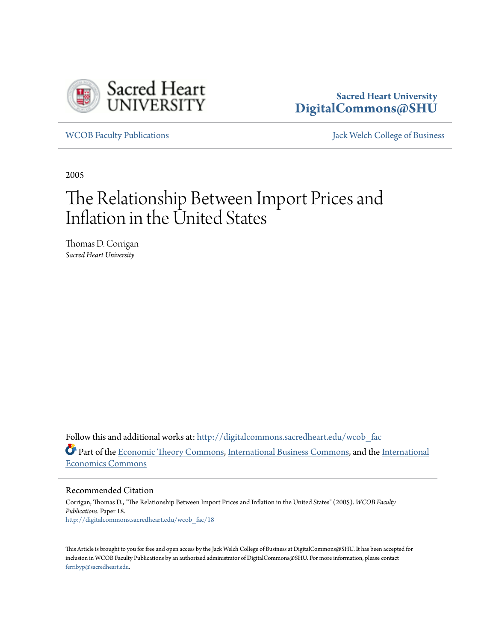

# **Sacred Heart University [DigitalCommons@SHU](http://digitalcommons.sacredheart.edu?utm_source=digitalcommons.sacredheart.edu%2Fwcob_fac%2F18&utm_medium=PDF&utm_campaign=PDFCoverPages)**

[WCOB Faculty Publications](http://digitalcommons.sacredheart.edu/wcob_fac?utm_source=digitalcommons.sacredheart.edu%2Fwcob_fac%2F18&utm_medium=PDF&utm_campaign=PDFCoverPages) [Jack Welch College of Business](http://digitalcommons.sacredheart.edu/wcob?utm_source=digitalcommons.sacredheart.edu%2Fwcob_fac%2F18&utm_medium=PDF&utm_campaign=PDFCoverPages)

2005

# The Relationship Between Import Prices and Inflation in the United States

Thomas D. Corrigan *Sacred Heart University*

Follow this and additional works at: [http://digitalcommons.sacredheart.edu/wcob\\_fac](http://digitalcommons.sacredheart.edu/wcob_fac?utm_source=digitalcommons.sacredheart.edu%2Fwcob_fac%2F18&utm_medium=PDF&utm_campaign=PDFCoverPages) Part of the [Economic Theory Commons,](http://network.bepress.com/hgg/discipline/344?utm_source=digitalcommons.sacredheart.edu%2Fwcob_fac%2F18&utm_medium=PDF&utm_campaign=PDFCoverPages) [International Business Commons,](http://network.bepress.com/hgg/discipline/634?utm_source=digitalcommons.sacredheart.edu%2Fwcob_fac%2F18&utm_medium=PDF&utm_campaign=PDFCoverPages) and the [International](http://network.bepress.com/hgg/discipline/348?utm_source=digitalcommons.sacredheart.edu%2Fwcob_fac%2F18&utm_medium=PDF&utm_campaign=PDFCoverPages) [Economics Commons](http://network.bepress.com/hgg/discipline/348?utm_source=digitalcommons.sacredheart.edu%2Fwcob_fac%2F18&utm_medium=PDF&utm_campaign=PDFCoverPages)

Recommended Citation

Corrigan, Thomas D., "The Relationship Between Import Prices and Inflation in the United States" (2005). *WCOB Faculty Publications.* Paper 18. [http://digitalcommons.sacredheart.edu/wcob\\_fac/18](http://digitalcommons.sacredheart.edu/wcob_fac/18?utm_source=digitalcommons.sacredheart.edu%2Fwcob_fac%2F18&utm_medium=PDF&utm_campaign=PDFCoverPages)

This Article is brought to you for free and open access by the Jack Welch College of Business at DigitalCommons@SHU. It has been accepted for inclusion in WCOB Faculty Publications by an authorized administrator of DigitalCommons@SHU. For more information, please contact [ferribyp@sacredheart.edu](mailto:ferribyp@sacredheart.edu).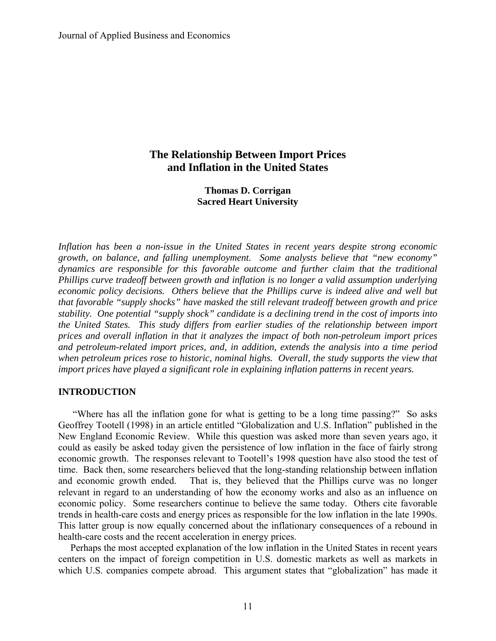# **The Relationship Between Import Prices and Inflation in the United States**

**Thomas D. Corrigan Sacred Heart University** 

*Inflation has been a non-issue in the United States in recent years despite strong economic growth, on balance, and falling unemployment. Some analysts believe that "new economy" dynamics are responsible for this favorable outcome and further claim that the traditional Phillips curve tradeoff between growth and inflation is no longer a valid assumption underlying economic policy decisions. Others believe that the Phillips curve is indeed alive and well but that favorable "supply shocks" have masked the still relevant tradeoff between growth and price stability. One potential "supply shock" candidate is a declining trend in the cost of imports into the United States. This study differs from earlier studies of the relationship between import prices and overall inflation in that it analyzes the impact of both non-petroleum import prices and petroleum-related import prices, and, in addition, extends the analysis into a time period when petroleum prices rose to historic, nominal highs. Overall, the study supports the view that import prices have played a significant role in explaining inflation patterns in recent years.* 

## **INTRODUCTION**

 "Where has all the inflation gone for what is getting to be a long time passing?" So asks Geoffrey Tootell (1998) in an article entitled "Globalization and U.S. Inflation" published in the New England Economic Review. While this question was asked more than seven years ago, it could as easily be asked today given the persistence of low inflation in the face of fairly strong economic growth. The responses relevant to Tootell's 1998 question have also stood the test of time. Back then, some researchers believed that the long-standing relationship between inflation and economic growth ended. That is, they believed that the Phillips curve was no longer relevant in regard to an understanding of how the economy works and also as an influence on economic policy. Some researchers continue to believe the same today. Others cite favorable trends in health-care costs and energy prices as responsible for the low inflation in the late 1990s. This latter group is now equally concerned about the inflationary consequences of a rebound in health-care costs and the recent acceleration in energy prices.

 Perhaps the most accepted explanation of the low inflation in the United States in recent years centers on the impact of foreign competition in U.S. domestic markets as well as markets in which U.S. companies compete abroad. This argument states that "globalization" has made it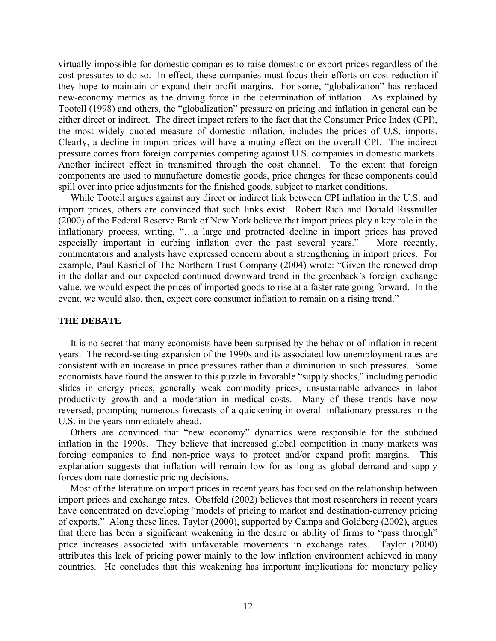virtually impossible for domestic companies to raise domestic or export prices regardless of the cost pressures to do so. In effect, these companies must focus their efforts on cost reduction if they hope to maintain or expand their profit margins. For some, "globalization" has replaced new-economy metrics as the driving force in the determination of inflation. As explained by Tootell (1998) and others, the "globalization" pressure on pricing and inflation in general can be either direct or indirect. The direct impact refers to the fact that the Consumer Price Index (CPI), the most widely quoted measure of domestic inflation, includes the prices of U.S. imports. Clearly, a decline in import prices will have a muting effect on the overall CPI. The indirect pressure comes from foreign companies competing against U.S. companies in domestic markets. Another indirect effect in transmitted through the cost channel. To the extent that foreign components are used to manufacture domestic goods, price changes for these components could spill over into price adjustments for the finished goods, subject to market conditions.

 While Tootell argues against any direct or indirect link between CPI inflation in the U.S. and import prices, others are convinced that such links exist. Robert Rich and Donald Rissmiller (2000) of the Federal Reserve Bank of New York believe that import prices play a key role in the inflationary process, writing, "…a large and protracted decline in import prices has proved especially important in curbing inflation over the past several years." More recently, commentators and analysts have expressed concern about a strengthening in import prices. For example, Paul Kasriel of The Northern Trust Company (2004) wrote: "Given the renewed drop in the dollar and our expected continued downward trend in the greenback's foreign exchange value, we would expect the prices of imported goods to rise at a faster rate going forward. In the event, we would also, then, expect core consumer inflation to remain on a rising trend."

#### **THE DEBATE**

It is no secret that many economists have been surprised by the behavior of inflation in recent years. The record-setting expansion of the 1990s and its associated low unemployment rates are consistent with an increase in price pressures rather than a diminution in such pressures. Some economists have found the answer to this puzzle in favorable "supply shocks," including periodic slides in energy prices, generally weak commodity prices, unsustainable advances in labor productivity growth and a moderation in medical costs. Many of these trends have now reversed, prompting numerous forecasts of a quickening in overall inflationary pressures in the U.S. in the years immediately ahead.

 Others are convinced that "new economy" dynamics were responsible for the subdued inflation in the 1990s. They believe that increased global competition in many markets was forcing companies to find non-price ways to protect and/or expand profit margins. This explanation suggests that inflation will remain low for as long as global demand and supply forces dominate domestic pricing decisions.

Most of the literature on import prices in recent years has focused on the relationship between import prices and exchange rates. Obstfeld (2002) believes that most researchers in recent years have concentrated on developing "models of pricing to market and destination-currency pricing of exports." Along these lines, Taylor (2000), supported by Campa and Goldberg (2002), argues that there has been a significant weakening in the desire or ability of firms to "pass through" price increases associated with unfavorable movements in exchange rates. Taylor (2000) attributes this lack of pricing power mainly to the low inflation environment achieved in many countries. He concludes that this weakening has important implications for monetary policy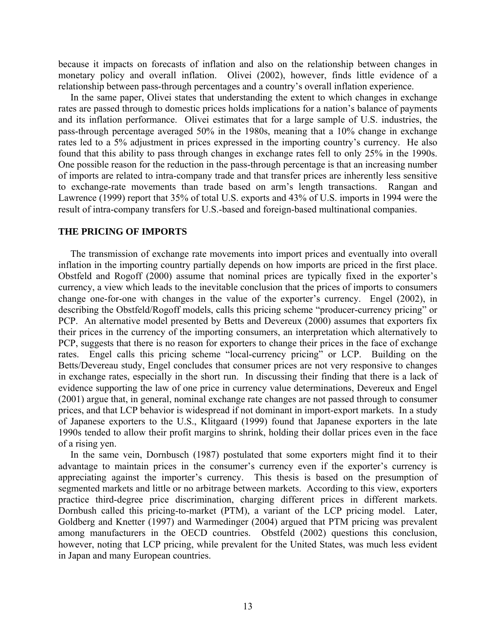because it impacts on forecasts of inflation and also on the relationship between changes in monetary policy and overall inflation. Olivei (2002), however, finds little evidence of a relationship between pass-through percentages and a country's overall inflation experience.

 In the same paper, Olivei states that understanding the extent to which changes in exchange rates are passed through to domestic prices holds implications for a nation's balance of payments and its inflation performance. Olivei estimates that for a large sample of U.S. industries, the pass-through percentage averaged 50% in the 1980s, meaning that a 10% change in exchange rates led to a 5% adjustment in prices expressed in the importing country's currency. He also found that this ability to pass through changes in exchange rates fell to only 25% in the 1990s. One possible reason for the reduction in the pass-through percentage is that an increasing number of imports are related to intra-company trade and that transfer prices are inherently less sensitive to exchange-rate movements than trade based on arm's length transactions. Rangan and Lawrence (1999) report that 35% of total U.S. exports and 43% of U.S. imports in 1994 were the result of intra-company transfers for U.S.-based and foreign-based multinational companies.

#### **THE PRICING OF IMPORTS**

 The transmission of exchange rate movements into import prices and eventually into overall inflation in the importing country partially depends on how imports are priced in the first place. Obstfeld and Rogoff (2000) assume that nominal prices are typically fixed in the exporter's currency, a view which leads to the inevitable conclusion that the prices of imports to consumers change one-for-one with changes in the value of the exporter's currency. Engel (2002), in describing the Obstfeld/Rogoff models, calls this pricing scheme "producer-currency pricing" or PCP. An alternative model presented by Betts and Devereux (2000) assumes that exporters fix their prices in the currency of the importing consumers, an interpretation which alternatively to PCP, suggests that there is no reason for exporters to change their prices in the face of exchange rates. Engel calls this pricing scheme "local-currency pricing" or LCP. Building on the Betts/Devereau study, Engel concludes that consumer prices are not very responsive to changes in exchange rates, especially in the short run. In discussing their finding that there is a lack of evidence supporting the law of one price in currency value determinations, Devereux and Engel (2001) argue that, in general, nominal exchange rate changes are not passed through to consumer prices, and that LCP behavior is widespread if not dominant in import-export markets. In a study of Japanese exporters to the U.S., Klitgaard (1999) found that Japanese exporters in the late 1990s tended to allow their profit margins to shrink, holding their dollar prices even in the face of a rising yen.

 In the same vein, Dornbusch (1987) postulated that some exporters might find it to their advantage to maintain prices in the consumer's currency even if the exporter's currency is appreciating against the importer's currency. This thesis is based on the presumption of segmented markets and little or no arbitrage between markets. According to this view, exporters practice third-degree price discrimination, charging different prices in different markets. Dornbush called this pricing-to-market (PTM), a variant of the LCP pricing model. Later, Goldberg and Knetter (1997) and Warmedinger (2004) argued that PTM pricing was prevalent among manufacturers in the OECD countries. Obstfeld (2002) questions this conclusion, however, noting that LCP pricing, while prevalent for the United States, was much less evident in Japan and many European countries.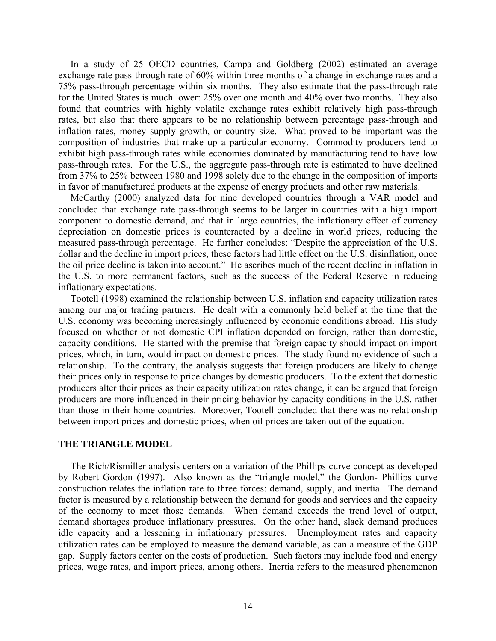In a study of 25 OECD countries, Campa and Goldberg (2002) estimated an average exchange rate pass-through rate of 60% within three months of a change in exchange rates and a 75% pass-through percentage within six months. They also estimate that the pass-through rate for the United States is much lower: 25% over one month and 40% over two months. They also found that countries with highly volatile exchange rates exhibit relatively high pass-through rates, but also that there appears to be no relationship between percentage pass-through and inflation rates, money supply growth, or country size. What proved to be important was the composition of industries that make up a particular economy. Commodity producers tend to exhibit high pass-through rates while economies dominated by manufacturing tend to have low pass-through rates. For the U.S., the aggregate pass-through rate is estimated to have declined from 37% to 25% between 1980 and 1998 solely due to the change in the composition of imports in favor of manufactured products at the expense of energy products and other raw materials.

 McCarthy (2000) analyzed data for nine developed countries through a VAR model and concluded that exchange rate pass-through seems to be larger in countries with a high import component to domestic demand, and that in large countries, the inflationary effect of currency depreciation on domestic prices is counteracted by a decline in world prices, reducing the measured pass-through percentage. He further concludes: "Despite the appreciation of the U.S. dollar and the decline in import prices, these factors had little effect on the U.S. disinflation, once the oil price decline is taken into account." He ascribes much of the recent decline in inflation in the U.S. to more permanent factors, such as the success of the Federal Reserve in reducing inflationary expectations.

 Tootell (1998) examined the relationship between U.S. inflation and capacity utilization rates among our major trading partners. He dealt with a commonly held belief at the time that the U.S. economy was becoming increasingly influenced by economic conditions abroad. His study focused on whether or not domestic CPI inflation depended on foreign, rather than domestic, capacity conditions. He started with the premise that foreign capacity should impact on import prices, which, in turn, would impact on domestic prices. The study found no evidence of such a relationship. To the contrary, the analysis suggests that foreign producers are likely to change their prices only in response to price changes by domestic producers. To the extent that domestic producers alter their prices as their capacity utilization rates change, it can be argued that foreign producers are more influenced in their pricing behavior by capacity conditions in the U.S. rather than those in their home countries. Moreover, Tootell concluded that there was no relationship between import prices and domestic prices, when oil prices are taken out of the equation.

#### **THE TRIANGLE MODEL**

 The Rich/Rismiller analysis centers on a variation of the Phillips curve concept as developed by Robert Gordon (1997). Also known as the "triangle model," the Gordon- Phillips curve construction relates the inflation rate to three forces: demand, supply, and inertia. The demand factor is measured by a relationship between the demand for goods and services and the capacity of the economy to meet those demands. When demand exceeds the trend level of output, demand shortages produce inflationary pressures. On the other hand, slack demand produces idle capacity and a lessening in inflationary pressures. Unemployment rates and capacity utilization rates can be employed to measure the demand variable, as can a measure of the GDP gap. Supply factors center on the costs of production. Such factors may include food and energy prices, wage rates, and import prices, among others. Inertia refers to the measured phenomenon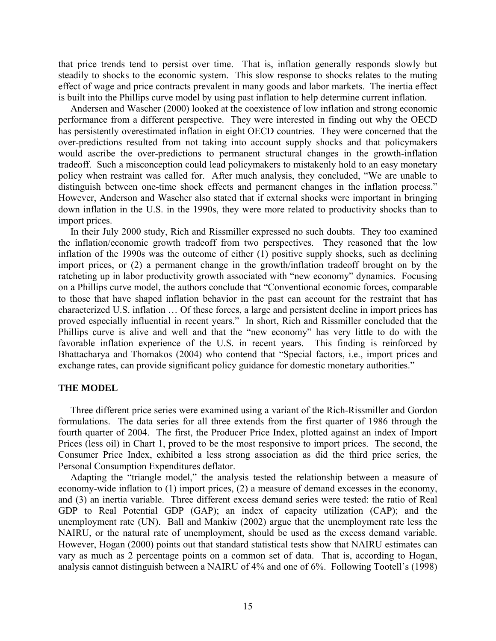that price trends tend to persist over time. That is, inflation generally responds slowly but steadily to shocks to the economic system. This slow response to shocks relates to the muting effect of wage and price contracts prevalent in many goods and labor markets. The inertia effect is built into the Phillips curve model by using past inflation to help determine current inflation.

 Andersen and Wascher (2000) looked at the coexistence of low inflation and strong economic performance from a different perspective. They were interested in finding out why the OECD has persistently overestimated inflation in eight OECD countries. They were concerned that the over-predictions resulted from not taking into account supply shocks and that policymakers would ascribe the over-predictions to permanent structural changes in the growth-inflation tradeoff. Such a misconception could lead policymakers to mistakenly hold to an easy monetary policy when restraint was called for. After much analysis, they concluded, "We are unable to distinguish between one-time shock effects and permanent changes in the inflation process." However, Anderson and Wascher also stated that if external shocks were important in bringing down inflation in the U.S. in the 1990s, they were more related to productivity shocks than to import prices.

In their July 2000 study, Rich and Rissmiller expressed no such doubts. They too examined the inflation/economic growth tradeoff from two perspectives. They reasoned that the low inflation of the 1990s was the outcome of either (1) positive supply shocks, such as declining import prices, or (2) a permanent change in the growth/inflation tradeoff brought on by the ratcheting up in labor productivity growth associated with "new economy" dynamics. Focusing on a Phillips curve model, the authors conclude that "Conventional economic forces, comparable to those that have shaped inflation behavior in the past can account for the restraint that has characterized U.S. inflation … Of these forces, a large and persistent decline in import prices has proved especially influential in recent years." In short, Rich and Rissmiller concluded that the Phillips curve is alive and well and that the "new economy" has very little to do with the favorable inflation experience of the U.S. in recent years. This finding is reinforced by Bhattacharya and Thomakos (2004) who contend that "Special factors, i.e., import prices and exchange rates, can provide significant policy guidance for domestic monetary authorities."

#### **THE MODEL**

 Three different price series were examined using a variant of the Rich-Rissmiller and Gordon formulations. The data series for all three extends from the first quarter of 1986 through the fourth quarter of 2004. The first, the Producer Price Index, plotted against an index of Import Prices (less oil) in Chart 1, proved to be the most responsive to import prices. The second, the Consumer Price Index, exhibited a less strong association as did the third price series, the Personal Consumption Expenditures deflator.

 Adapting the "triangle model," the analysis tested the relationship between a measure of economy-wide inflation to (1) import prices, (2) a measure of demand excesses in the economy, and (3) an inertia variable. Three different excess demand series were tested: the ratio of Real GDP to Real Potential GDP (GAP); an index of capacity utilization (CAP); and the unemployment rate (UN). Ball and Mankiw (2002) argue that the unemployment rate less the NAIRU, or the natural rate of unemployment, should be used as the excess demand variable. However, Hogan (2000) points out that standard statistical tests show that NAIRU estimates can vary as much as 2 percentage points on a common set of data. That is, according to Hogan, analysis cannot distinguish between a NAIRU of 4% and one of 6%. Following Tootell's (1998)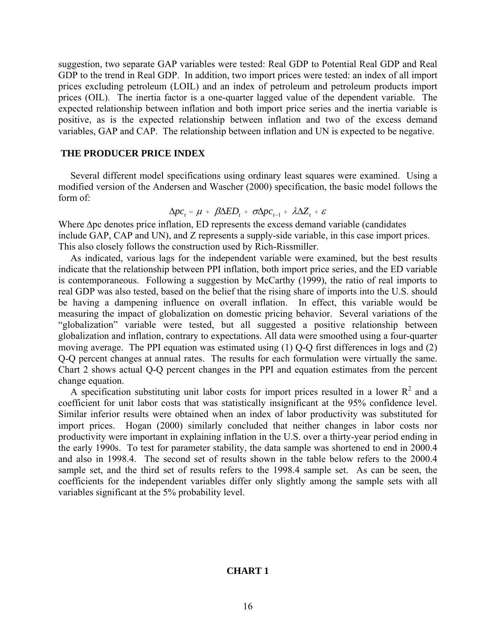suggestion, two separate GAP variables were tested: Real GDP to Potential Real GDP and Real GDP to the trend in Real GDP. In addition, two import prices were tested: an index of all import prices excluding petroleum (LOIL) and an index of petroleum and petroleum products import prices (OIL). The inertia factor is a one-quarter lagged value of the dependent variable. The expected relationship between inflation and both import price series and the inertia variable is positive, as is the expected relationship between inflation and two of the excess demand variables, GAP and CAP. The relationship between inflation and UN is expected to be negative.

## **THE PRODUCER PRICE INDEX**

 Several different model specifications using ordinary least squares were examined. Using a modified version of the Andersen and Wascher (2000) specification, the basic model follows the form of:

$$
\Delta pc_t = \mu + \beta \Delta ED_t + \sigma \Delta pc_{t-1} + \lambda \Delta Z_t + \varepsilon
$$

Where ∆pc denotes price inflation, ED represents the excess demand variable (candidates include GAP, CAP and UN), and Z represents a supply-side variable, in this case import prices. This also closely follows the construction used by Rich-Rissmiller.

As indicated, various lags for the independent variable were examined, but the best results indicate that the relationship between PPI inflation, both import price series, and the ED variable is contemporaneous. Following a suggestion by McCarthy (1999), the ratio of real imports to real GDP was also tested, based on the belief that the rising share of imports into the U.S. should be having a dampening influence on overall inflation. In effect, this variable would be measuring the impact of globalization on domestic pricing behavior. Several variations of the "globalization" variable were tested, but all suggested a positive relationship between globalization and inflation, contrary to expectations. All data were smoothed using a four-quarter moving average. The PPI equation was estimated using (1) Q-Q first differences in logs and (2) Q-Q percent changes at annual rates. The results for each formulation were virtually the same. Chart 2 shows actual Q-Q percent changes in the PPI and equation estimates from the percent change equation.

A specification substituting unit labor costs for import prices resulted in a lower  $R^2$  and a coefficient for unit labor costs that was statistically insignificant at the 95% confidence level. Similar inferior results were obtained when an index of labor productivity was substituted for import prices. Hogan (2000) similarly concluded that neither changes in labor costs nor productivity were important in explaining inflation in the U.S. over a thirty-year period ending in the early 1990s.To test for parameter stability, the data sample was shortened to end in 2000.4 and also in 1998.4. The second set of results shown in the table below refers to the 2000.4 sample set, and the third set of results refers to the 1998.4 sample set. As can be seen, the coefficients for the independent variables differ only slightly among the sample sets with all variables significant at the 5% probability level.

#### **CHART 1**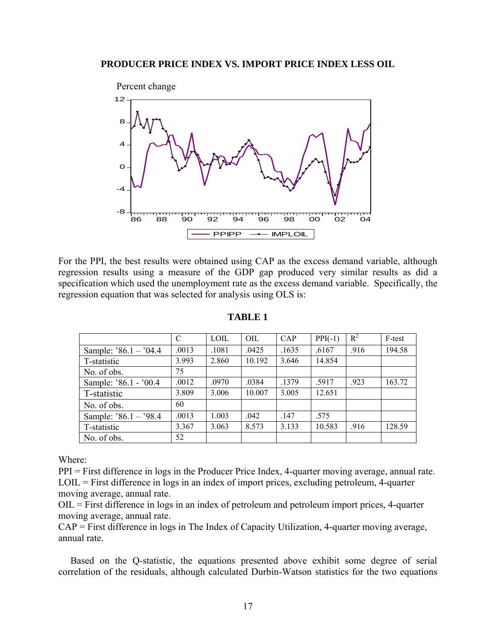

For the PPI, the best results were obtained using CAP as the excess demand variable, although regression results using a measure of the GDP gap produced very similar results as did a specification which used the unemployment rate as the excess demand variable. Specifically, the regression equation that was selected for analysis using OLS is:

|                       | C     | <b>LOIL</b> | OIL    | CAP   | $PPI(-1)$ | $R^2$ | F-test |
|-----------------------|-------|-------------|--------|-------|-----------|-------|--------|
| Sample: $86.1 - 04.4$ | .0013 | .1081       | .0425  | .1635 | .6167     | .916  | 194.58 |
| T-statistic           | 3.993 | 2.860       | 10.192 | 3.646 | 14.854    |       |        |
| No. of obs.           | 75    |             |        |       |           |       |        |
| Sample: '86.1 - '00.4 | .0012 | .0970       | .0384  | .1379 | .5917     | .923  | 163.72 |
| T-statistic           | 3.809 | 3.006       | 10.007 | 3.005 | 12.651    |       |        |
| No. of obs.           | 60    |             |        |       |           |       |        |
| Sample: $86.1 - 98.4$ | .0013 | 1.003       | .042   | .147  | .575      |       |        |
| T-statistic           | 3.367 | 3.063       | 8.573  | 3.133 | 10.583    | .916  | 128.59 |
| No. of obs.           | 52    |             |        |       |           |       |        |

**TABLE 1** 

Where:

PPI = First difference in logs in the Producer Price Index, 4-quarter moving average, annual rate. LOIL = First difference in logs in an index of import prices, excluding petroleum, 4-quarter moving average, annual rate.

OIL = First difference in logs in an index of petroleum and petroleum import prices, 4-quarter moving average, annual rate.

CAP = First difference in logs in The Index of Capacity Utilization, 4-quarter moving average, annual rate.

 Based on the Q-statistic, the equations presented above exhibit some degree of serial correlation of the residuals, although calculated Durbin-Watson statistics for the two equations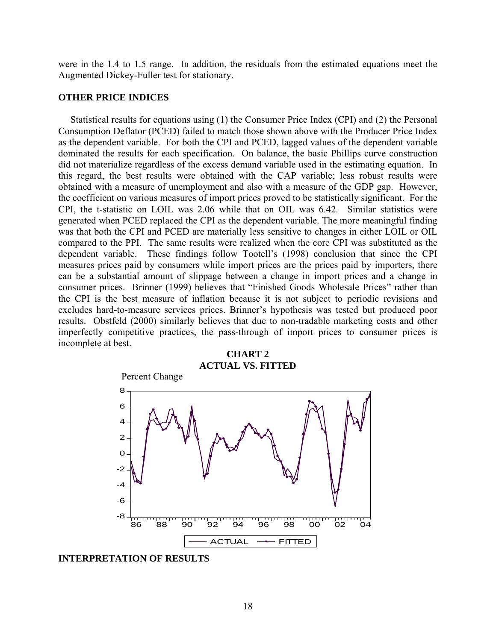were in the 1.4 to 1.5 range. In addition, the residuals from the estimated equations meet the Augmented Dickey-Fuller test for stationary.

#### **OTHER PRICE INDICES**

 Statistical results for equations using (1) the Consumer Price Index (CPI) and (2) the Personal Consumption Deflator (PCED) failed to match those shown above with the Producer Price Index as the dependent variable. For both the CPI and PCED, lagged values of the dependent variable dominated the results for each specification. On balance, the basic Phillips curve construction did not materialize regardless of the excess demand variable used in the estimating equation. In this regard, the best results were obtained with the CAP variable; less robust results were obtained with a measure of unemployment and also with a measure of the GDP gap. However, the coefficient on various measures of import prices proved to be statistically significant. For the CPI, the t-statistic on LOIL was 2.06 while that on OIL was 6.42. Similar statistics were generated when PCED replaced the CPI as the dependent variable. The more meaningful finding was that both the CPI and PCED are materially less sensitive to changes in either LOIL or OIL compared to the PPI. The same results were realized when the core CPI was substituted as the dependent variable. These findings follow Tootell's (1998) conclusion that since the CPI measures prices paid by consumers while import prices are the prices paid by importers, there can be a substantial amount of slippage between a change in import prices and a change in consumer prices. Brinner (1999) believes that "Finished Goods Wholesale Prices" rather than the CPI is the best measure of inflation because it is not subject to periodic revisions and excludes hard-to-measure services prices. Brinner's hypothesis was tested but produced poor results. Obstfeld (2000) similarly believes that due to non-tradable marketing costs and other imperfectly competitive practices, the pass-through of import prices to consumer prices is incomplete at best.



**INTERPRETATION OF RESULTS**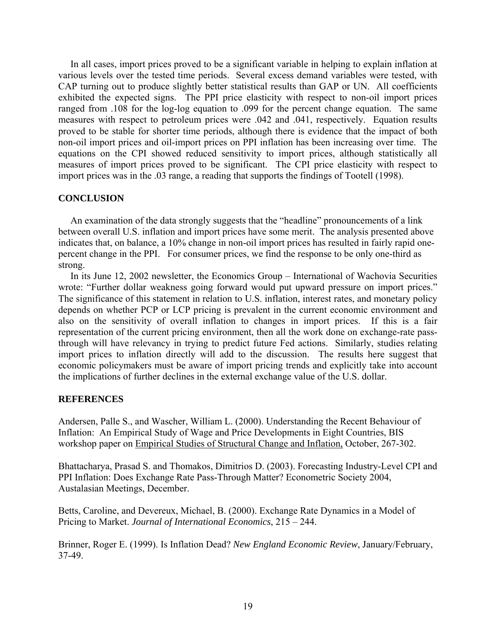In all cases, import prices proved to be a significant variable in helping to explain inflation at various levels over the tested time periods. Several excess demand variables were tested, with CAP turning out to produce slightly better statistical results than GAP or UN. All coefficients exhibited the expected signs. The PPI price elasticity with respect to non-oil import prices ranged from .108 for the log-log equation to .099 for the percent change equation. The same measures with respect to petroleum prices were .042 and .041, respectively. Equation results proved to be stable for shorter time periods, although there is evidence that the impact of both non-oil import prices and oil-import prices on PPI inflation has been increasing over time. The equations on the CPI showed reduced sensitivity to import prices, although statistically all measures of import prices proved to be significant. The CPI price elasticity with respect to import prices was in the .03 range, a reading that supports the findings of Tootell (1998).

# **CONCLUSION**

 An examination of the data strongly suggests that the "headline" pronouncements of a link between overall U.S. inflation and import prices have some merit. The analysis presented above indicates that, on balance, a 10% change in non-oil import prices has resulted in fairly rapid onepercent change in the PPI. For consumer prices, we find the response to be only one-third as strong.

In its June 12, 2002 newsletter, the Economics Group – International of Wachovia Securities wrote: "Further dollar weakness going forward would put upward pressure on import prices." The significance of this statement in relation to U.S. inflation, interest rates, and monetary policy depends on whether PCP or LCP pricing is prevalent in the current economic environment and also on the sensitivity of overall inflation to changes in import prices. If this is a fair representation of the current pricing environment, then all the work done on exchange-rate passthrough will have relevancy in trying to predict future Fed actions. Similarly, studies relating import prices to inflation directly will add to the discussion. The results here suggest that economic policymakers must be aware of import pricing trends and explicitly take into account the implications of further declines in the external exchange value of the U.S. dollar.

## **REFERENCES**

Andersen, Palle S., and Wascher, William L. (2000). Understanding the Recent Behaviour of Inflation: An Empirical Study of Wage and Price Developments in Eight Countries, BIS workshop paper on Empirical Studies of Structural Change and Inflation, October, 267-302.

Bhattacharya, Prasad S. and Thomakos, Dimitrios D. (2003). Forecasting Industry-Level CPI and PPI Inflation: Does Exchange Rate Pass-Through Matter? Econometric Society 2004, Austalasian Meetings, December.

Betts, Caroline, and Devereux, Michael, B. (2000). Exchange Rate Dynamics in a Model of Pricing to Market. *Journal of International Economics*, 215 – 244.

Brinner, Roger E. (1999). Is Inflation Dead? *New England Economic Review*, January/February, 37-49.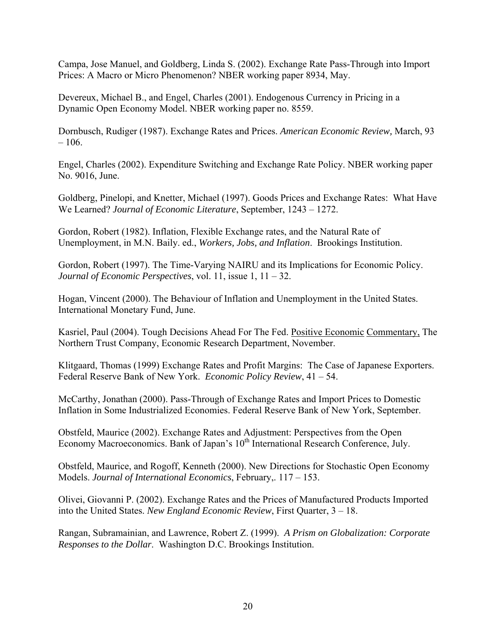Campa, Jose Manuel, and Goldberg, Linda S. (2002). Exchange Rate Pass-Through into Import Prices: A Macro or Micro Phenomenon? NBER working paper 8934, May.

Devereux, Michael B., and Engel, Charles (2001). Endogenous Currency in Pricing in a Dynamic Open Economy Model. NBER working paper no. 8559.

Dornbusch, Rudiger (1987). Exchange Rates and Prices. *American Economic Review,* March, 93  $-106.$ 

Engel, Charles (2002). Expenditure Switching and Exchange Rate Policy. NBER working paper No. 9016, June.

Goldberg, Pinelopi, and Knetter, Michael (1997). Goods Prices and Exchange Rates: What Have We Learned? *Journal of Economic Literature*, September, 1243 – 1272.

Gordon, Robert (1982). Inflation, Flexible Exchange rates, and the Natural Rate of Unemployment, in M.N. Baily. ed., *Workers, Jobs, and Inflation*. Brookings Institution.

Gordon, Robert (1997). The Time-Varying NAIRU and its Implications for Economic Policy. *Journal of Economic Perspectives*, vol. 11, issue 1, 11 – 32.

Hogan, Vincent (2000). The Behaviour of Inflation and Unemployment in the United States. International Monetary Fund, June.

Kasriel, Paul (2004). Tough Decisions Ahead For The Fed. Positive Economic Commentary, The Northern Trust Company, Economic Research Department, November.

Klitgaard, Thomas (1999) Exchange Rates and Profit Margins: The Case of Japanese Exporters. Federal Reserve Bank of New York. *Economic Policy Review*, 41 – 54.

McCarthy, Jonathan (2000). Pass-Through of Exchange Rates and Import Prices to Domestic Inflation in Some Industrialized Economies. Federal Reserve Bank of New York, September.

Obstfeld, Maurice (2002). Exchange Rates and Adjustment: Perspectives from the Open Economy Macroeconomics. Bank of Japan's 10<sup>th</sup> International Research Conference, July.

Obstfeld, Maurice, and Rogoff, Kenneth (2000). New Directions for Stochastic Open Economy Models. *Journal of International Economics*, February,. 117 – 153.

Olivei, Giovanni P. (2002). Exchange Rates and the Prices of Manufactured Products Imported into the United States. *New England Economic Review*, First Quarter, 3 – 18.

Rangan, Subramainian, and Lawrence, Robert Z. (1999). *A Prism on Globalization: Corporate Responses to the Dollar*. Washington D.C. Brookings Institution.